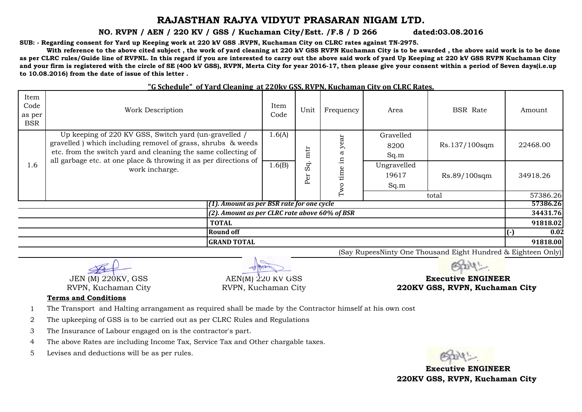## **RAJASTHAN RAJYA VIDYUT PRASARAN NIGAM LTD.**

**NO. RVPN / AEN / 220 KV / GSS / Kuchaman City/Estt. /F.8 / D 266 dated:03.08.2016**

**SUB: - Regarding consent for Yard up Keeping work at 220 kV GSS .RVPN, Kuchaman City on CLRC rates against TN-2975.** 

With reference to the above cited subject, the work of vard cleaning at 220 kV GSS RVPN Kuchaman City is to be awarded, the above said work is to be done **as per CLRC rules/Guide line of RVPNL. In this regard if you are interested to carry out the above said work of yard Up Keeping at 220 kV GSS RVPN Kuchaman City and your firm is registered with the circle of SE (400 kV GSS), RVPN, Merta City for year 2016-17, then please give your consent within a period of Seven days(i.e.up to 10.08.2016) from the date of issue of this letter .**

| Item<br>Code<br>as per<br><b>BSR</b>             | Work Description                                                                                                                                                                                                                                          | Item<br>Code | Unit      | Frequency                 | Area                         | <b>BSR</b> Rate | Amount            |
|--------------------------------------------------|-----------------------------------------------------------------------------------------------------------------------------------------------------------------------------------------------------------------------------------------------------------|--------------|-----------|---------------------------|------------------------------|-----------------|-------------------|
|                                                  | Up keeping of 220 KV GSS, Switch yard (un-gravelled /<br>gravelled) which including removel of grass, shrubs & weeds<br>etc. from the switch yard and cleaning the same collecting of<br>all garbage etc. at one place & throwing it as per directions of |              | mtr       | đĪ<br>⋋<br>$\sigma$<br>묘. | Gravelled<br>8200<br>Sq.m    | Rs.137/100sqm   | 22468.00          |
| 1.6                                              | work incharge.                                                                                                                                                                                                                                            |              | Sq<br>Per | ਦ<br>$\operatorname{Two}$ | Ungravelled<br>19617<br>Sq.m | Rs.89/100sqm    | 34918.26          |
|                                                  |                                                                                                                                                                                                                                                           |              |           |                           | total                        |                 | 57386.26          |
| $(1)$ . Amount as per BSR rate for one cycle     |                                                                                                                                                                                                                                                           |              |           |                           |                              |                 | 57386.26          |
| $(2)$ . Amount as per CLRC rate above 60% of BSR |                                                                                                                                                                                                                                                           |              |           |                           |                              |                 | 34431.76          |
| <b>TOTAL</b>                                     |                                                                                                                                                                                                                                                           |              |           |                           |                              |                 | 91818.02          |
| Round off                                        |                                                                                                                                                                                                                                                           |              |           |                           |                              |                 | 0.02<br>$(\cdot)$ |
| <b>GRAND TOTAL</b>                               |                                                                                                                                                                                                                                                           |              |           |                           |                              |                 | 91818.00          |

## **"G Schedule" of Yard Cleaning at 220kv GSS, RVPN, Kuchaman City on CLRC Rates.**

(Say RupeesNinty One Thousand Eight Hundred & Eighteen Only)

JEN (M) 220KV, GSS

RVPN, Kuchaman City

AEN(M) 220 KV GSS

RVPN, Kuchaman City

 **Executive ENGINEER 220KV GSS, RVPN, Kuchaman City**

## **Terms and Conditions**

- 1 The Transport and Halting arrangament as required shall be made by the Contractor himself at his own cost
- 2 The upkeeping of GSS is to be carried out as per CLRC Rules and Regulations
- 3 The Insurance of Labour engaged on is the contractor's part.
- 4 The above Rates are including Income Tax, Service Tax and Other chargable taxes.
- 5 Levises and deductions will be as per rules.

 **Executive ENGINEER 220KV GSS, RVPN, Kuchaman City**